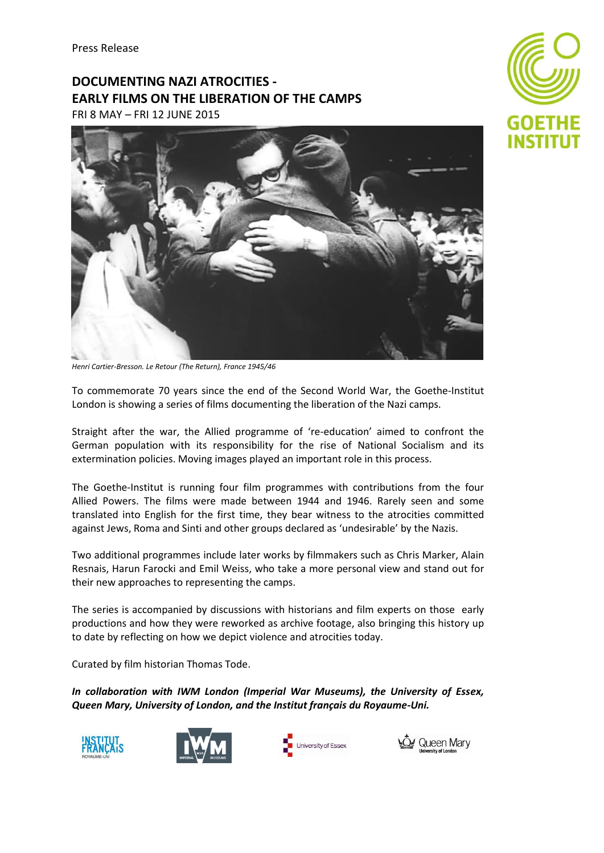# **DOCUMENTING NAZI ATROCITIES - EARLY FILMS ON THE LIBERATION OF THE CAMPS**

FRI 8 MAY – FRI 12 JUNE 2015



*Henri Cartier-Bresson. Le Retour (The Return), France 1945/46*

To commemorate 70 years since the end of the Second World War, the Goethe-Institut London is showing a series of films documenting the liberation of the Nazi camps.

Straight after the war, the Allied programme of 're-education' aimed to confront the German population with its responsibility for the rise of National Socialism and its extermination policies. Moving images played an important role in this process.

The Goethe-Institut is running four film programmes with contributions from the four Allied Powers. The films were made between 1944 and 1946. Rarely seen and some translated into English for the first time, they bear witness to the atrocities committed against Jews, Roma and Sinti and other groups declared as 'undesirable' by the Nazis.

Two additional programmes include later works by filmmakers such as Chris Marker, Alain Resnais, Harun Farocki and Emil Weiss, who take a more personal view and stand out for their new approaches to representing the camps.

The series is accompanied by discussions with historians and film experts on those early productions and how they were reworked as archive footage, also bringing this history up to date by reflecting on how we depict violence and atrocities today.

Curated by film historian Thomas Tode.

*In collaboration with IWM London (Imperial War Museums), the University of Essex, Queen Mary, University of London, and the Institut français du Royaume-Uni.*









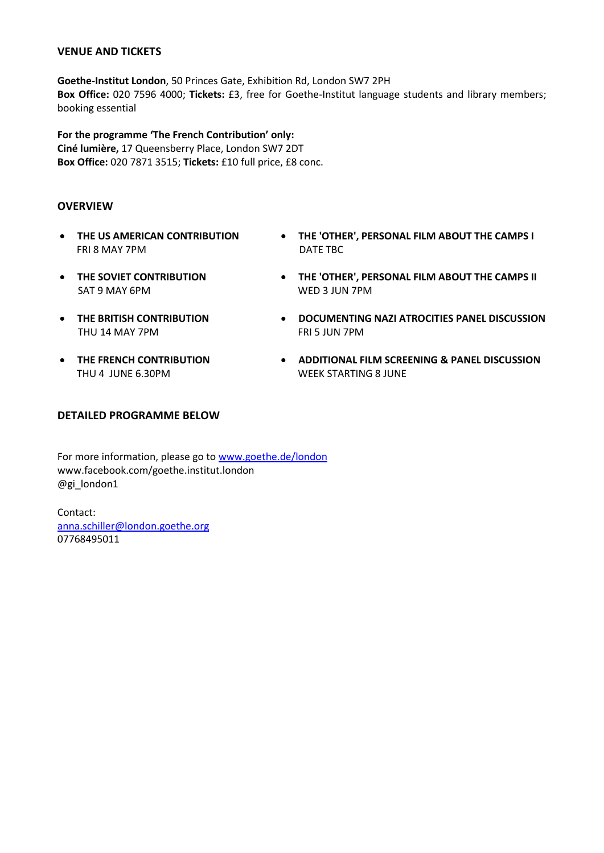#### **VENUE AND TICKETS**

**Goethe-Institut London**, 50 Princes Gate, Exhibition Rd, London SW7 2PH **Box Office:** 020 7596 4000; **Tickets:** £3, free for Goethe-Institut language students and library members; booking essential

**For the programme 'The French Contribution' only: Ciné lumière,** 17 Queensberry Place, London SW7 2DT **Box Office:** 020 7871 3515; **Tickets:** £10 full price, £8 conc.

#### **OVERVIEW**

- **THE US AMERICAN CONTRIBUTION** FRI 8 MAY 7PM
- **THE 'OTHER', PERSONAL FILM ABOUT THE CAMPS I** DATE TBC
- **THE SOVIET CONTRIBUTION** SAT 9 MAY 6PM
- **THE BRITISH CONTRIBUTION** THU 14 MAY 7PM
- **THE FRENCH CONTRIBUTION** THU 4 JUNE 6.30PM
- 
- **THE 'OTHER', PERSONAL FILM ABOUT THE CAMPS II** WED 3 JUN 7PM
- **DOCUMENTING NAZI ATROCITIES PANEL DISCUSSION** FRI 5 JUN 7PM
- **ADDITIONAL FILM SCREENING & PANEL DISCUSSION** WEEK STARTING 8 JUNE

# **DETAILED PROGRAMME BELOW**

For more information, please go to [www.goethe.de/london](http://www.goethe.de/london) [www.facebook.com/goethe.institut.london](http://www.facebook.com/goethe.institut.london) @gi\_london1

Contact: [anna.schiller@london.goethe.org](mailto:anna.schiller@london.goethe.org) 07768495011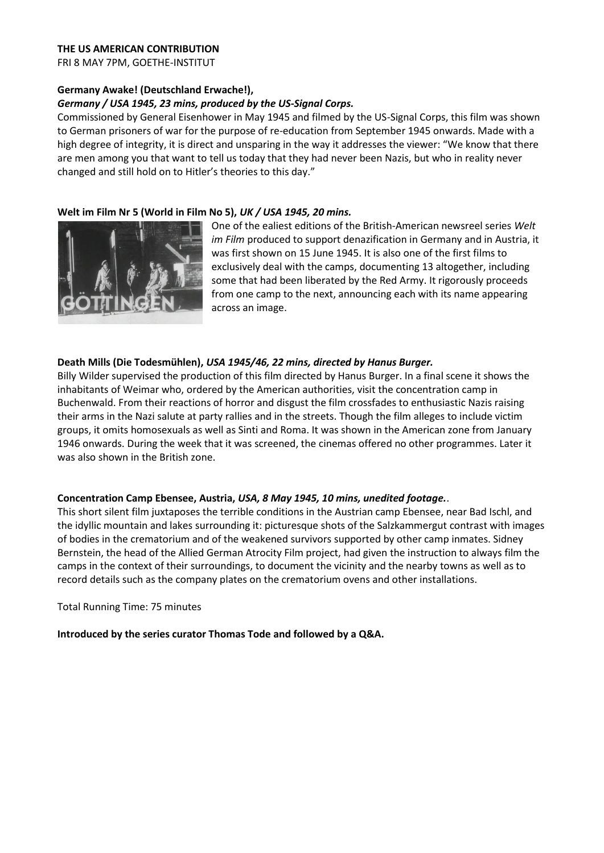#### **THE US AMERICAN CONTRIBUTION**

FRI 8 MAY 7PM, GOETHE-INSTITUT

#### **Germany Awake! (Deutschland Erwache!),**

#### *Germany / USA 1945, 23 mins, produced by the US-Signal Corps.*

Commissioned by General Eisenhower in May 1945 and filmed by the US-Signal Corps, this film was shown to German prisoners of war for the purpose of re-education from September 1945 onwards. Made with a high degree of integrity, it is direct and unsparing in the way it addresses the viewer: "We know that there are men among you that want to tell us today that they had never been Nazis, but who in reality never changed and still hold on to Hitler's theories to this day."

#### **Welt im Film Nr 5 (World in Film No 5),** *UK / USA 1945, 20 mins.*



One of the ealiest editions of the British-American newsreel series *Welt im Film* produced to support denazification in Germany and in Austria, it was first shown on 15 June 1945. It is also one of the first films to exclusively deal with the camps, documenting 13 altogether, including some that had been liberated by the Red Army. It rigorously proceeds from one camp to the next, announcing each with its name appearing across an image.

#### **Death Mills (Die Todesmühlen),** *USA 1945/46, 22 mins, directed by Hanus Burger.*

Billy Wilder supervised the production of this film directed by Hanus Burger. In a final scene it shows the inhabitants of Weimar who, ordered by the American authorities, visit the concentration camp in Buchenwald. From their reactions of horror and disgust the film crossfades to enthusiastic Nazis raising their arms in the Nazi salute at party rallies and in the streets. Though the film alleges to include victim groups, it omits homosexuals as well as Sinti and Roma. It was shown in the American zone from January 1946 onwards. During the week that it was screened, the cinemas offered no other programmes. Later it was also shown in the British zone.

#### **Concentration Camp Ebensee, Austria,** *USA, 8 May 1945, 10 mins, unedited footage.*.

This short silent film juxtaposes the terrible conditions in the Austrian camp Ebensee, near Bad Ischl, and the idyllic mountain and lakes surrounding it: picturesque shots of the Salzkammergut contrast with images of bodies in the crematorium and of the weakened survivors supported by other camp inmates. Sidney Bernstein, the head of the Allied German Atrocity Film project, had given the instruction to always film the camps in the context of their surroundings, to document the vicinity and the nearby towns as well as to record details such as the company plates on the crematorium ovens and other installations.

Total Running Time: 75 minutes

**Introduced by the series curator Thomas Tode and followed by a Q&A.**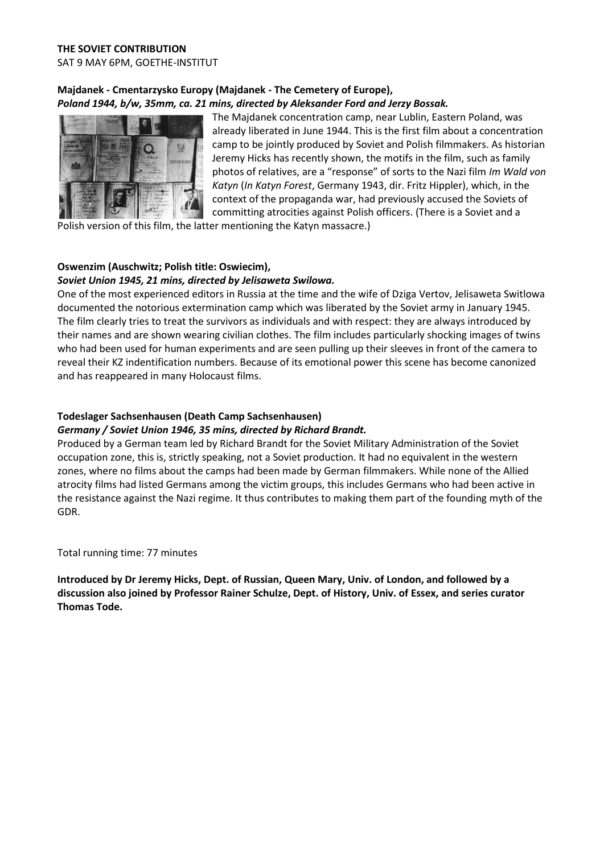# **Majdanek - Cmentarzysko Europy (Majdanek - The Cemetery of Europe),**  *Poland 1944, b/w, 35mm, ca. 21 mins, directed by Aleksander Ford and Jerzy Bossak.*



The Majdanek concentration camp, near Lublin, Eastern Poland, was already liberated in June 1944. This is the first film about a concentration camp to be jointly produced by Soviet and Polish filmmakers. As historian Jeremy Hicks has recently shown, the motifs in the film, such as family photos of relatives, are a "response" of sorts to the Nazi film *Im Wald von Katyn* (*In Katyn Forest*, Germany 1943, dir. Fritz Hippler), which, in the context of the propaganda war, had previously accused the Soviets of committing atrocities against Polish officers. (There is a Soviet and a

Polish version of this film, the latter mentioning the Katyn massacre.)

#### **Oswenzim (Auschwitz; Polish title: Oswiecim),**  *Soviet Union 1945, 21 mins, directed by Jelisaweta Swilowa.*

One of the most experienced editors in Russia at the time and the wife of Dziga Vertov, Jelisaweta Switlowa documented the notorious extermination camp which was liberated by the Soviet army in January 1945. The film clearly tries to treat the survivors as individuals and with respect: they are always introduced by their names and are shown wearing civilian clothes. The film includes particularly shocking images of twins who had been used for human experiments and are seen pulling up their sleeves in front of the camera to reveal their KZ indentification numbers. Because of its emotional power this scene has become canonized and has reappeared in many Holocaust films.

# **Todeslager Sachsenhausen (Death Camp Sachsenhausen)**

# *Germany / Soviet Union 1946, 35 mins, directed by Richard Brandt.*

Produced by a German team led by Richard Brandt for the Soviet Military Administration of the Soviet occupation zone, this is, strictly speaking, not a Soviet production. It had no equivalent in the western zones, where no films about the camps had been made by German filmmakers. While none of the Allied atrocity films had listed Germans among the victim groups, this includes Germans who had been active in the resistance against the Nazi regime. It thus contributes to making them part of the founding myth of the GDR.

Total running time: 77 minutes

**Introduced by Dr Jeremy Hicks, Dept. of Russian, Queen Mary, Univ. of London, and followed by a discussion also joined by Professor Rainer Schulze, Dept. of History, Univ. of Essex, and series curator Thomas Tode.**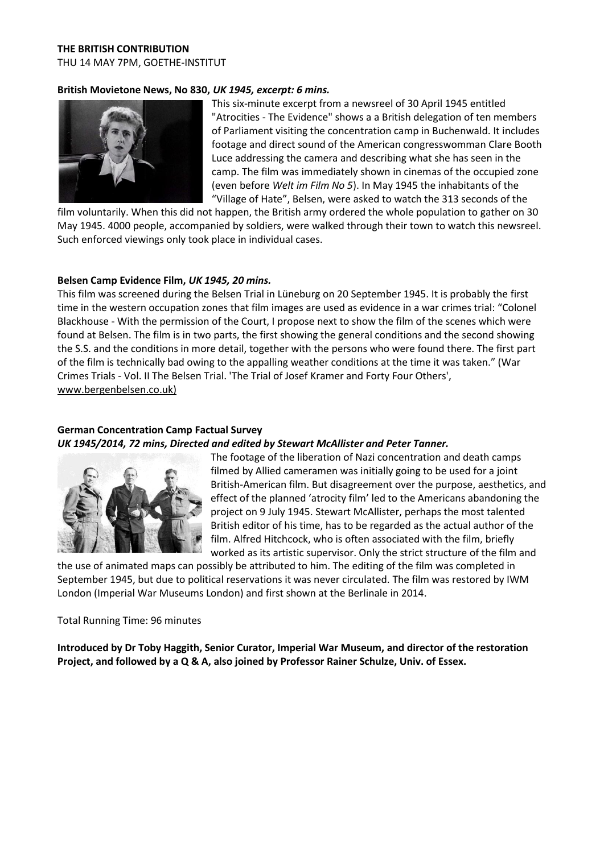# **THE BRITISH CONTRIBUTION**

THU 14 MAY 7PM, GOETHE-INSTITUT

#### **British Movietone News, No 830,** *UK 1945, excerpt: 6 mins.*



This six-minute excerpt from a newsreel of 30 April 1945 entitled "Atrocities - The Evidence" shows a a British delegation of ten members of Parliament visiting the concentration camp in Buchenwald. It includes footage and direct sound of the American congresswomman Clare Booth Luce addressing the camera and describing what she has seen in the camp. The film was immediately shown in cinemas of the occupied zone (even before *Welt im Film No 5*). In May 1945 the inhabitants of the "Village of Hate", Belsen, were asked to watch the 313 seconds of the

film voluntarily. When this did not happen, the British army ordered the whole population to gather on 30 May 1945. 4000 people, accompanied by soldiers, were walked through their town to watch this newsreel. Such enforced viewings only took place in individual cases.

#### **Belsen Camp Evidence Film,** *UK 1945, 20 mins.*

This film was screened during the Belsen Trial in Lüneburg on 20 September 1945. It is probably the first time in the western occupation zones that film images are used as evidence in a war crimes trial: "Colonel Blackhouse - With the permission of the Court, I propose next to show the film of the scenes which were found at Belsen. The film is in two parts, the first showing the general conditions and the second showing the S.S. and the conditions in more detail, together with the persons who were found there. The first part of the film is technically bad owing to the appalling weather conditions at the time it was taken." (War Crimes Trials - Vol. II The Belsen Trial. 'The Trial of Josef Kramer and Forty Four Others', [www.bergenbelsen.co.uk\)](http://www.bergenbelsen.co.uk)/)

#### **German Concentration Camp Factual Survey**  *UK 1945/2014, 72 mins, Directed and edited by Stewart McAllister and Peter Tanner.*



The footage of the liberation of Nazi concentration and death camps filmed by Allied cameramen was initially going to be used for a joint British-American film. But disagreement over the purpose, aesthetics, and effect of the planned 'atrocity film' led to the Americans abandoning the project on 9 July 1945. Stewart McAllister, perhaps the most talented British editor of his time, has to be regarded as the actual author of the film. Alfred Hitchcock, who is often associated with the film, briefly worked as its artistic supervisor. Only the strict structure of the film and

the use of animated maps can possibly be attributed to him. The editing of the film was completed in September 1945, but due to political reservations it was never circulated. The film was restored by IWM London (Imperial War Museums London) and first shown at the Berlinale in 2014.

#### Total Running Time: 96 minutes

**Introduced by Dr Toby Haggith, Senior Curator, Imperial War Museum, and director of the restoration Project, and followed by a Q & A, also joined by Professor Rainer Schulze, Univ. of Essex.**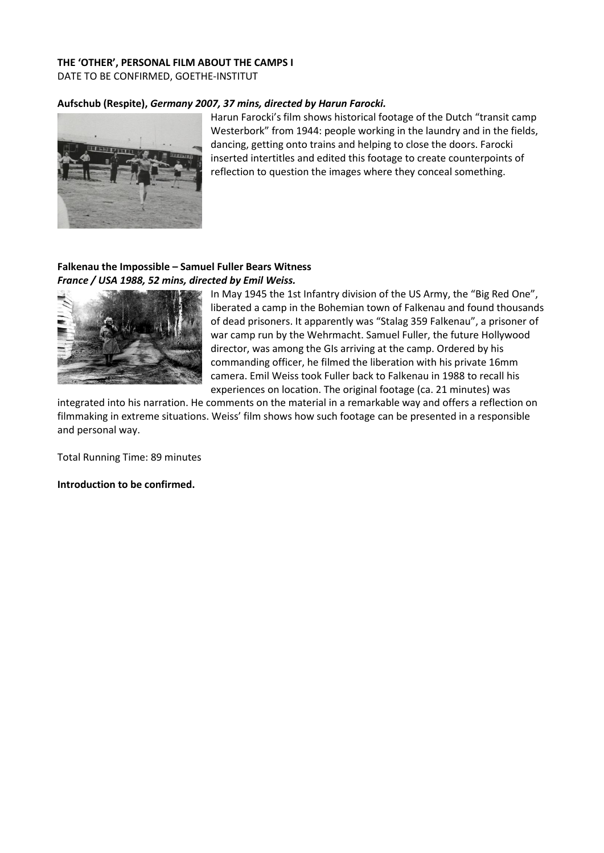# **THE 'OTHER', PERSONAL FILM ABOUT THE CAMPS I**

DATE TO BE CONFIRMED, GOETHE-INSTITUT

#### **Aufschub (Respite),** *Germany 2007, 37 mins, directed by Harun Farocki.*



Harun Farocki's film shows historical footage of the Dutch "transit camp Westerbork" from 1944: people working in the laundry and in the fields, dancing, getting onto trains and helping to close the doors. Farocki inserted intertitles and edited this footage to create counterpoints of reflection to question the images where they conceal something.

# **Falkenau the Impossible – Samuel Fuller Bears Witness**  *France / USA 1988, 52 mins, directed by Emil Weiss.*



In May 1945 the 1st Infantry division of the US Army, the "Big Red One", liberated a camp in the Bohemian town of Falkenau and found thousands of dead prisoners. It apparently was "Stalag 359 Falkenau", a prisoner of war camp run by the Wehrmacht. Samuel Fuller, the future Hollywood director, was among the GIs arriving at the camp. Ordered by his commanding officer, he filmed the liberation with his private 16mm camera. Emil Weiss took Fuller back to Falkenau in 1988 to recall his experiences on location. The original footage (ca. 21 minutes) was

integrated into his narration. He comments on the material in a remarkable way and offers a reflection on filmmaking in extreme situations. Weiss' film shows how such footage can be presented in a responsible and personal way.

Total Running Time: 89 minutes

**Introduction to be confirmed.**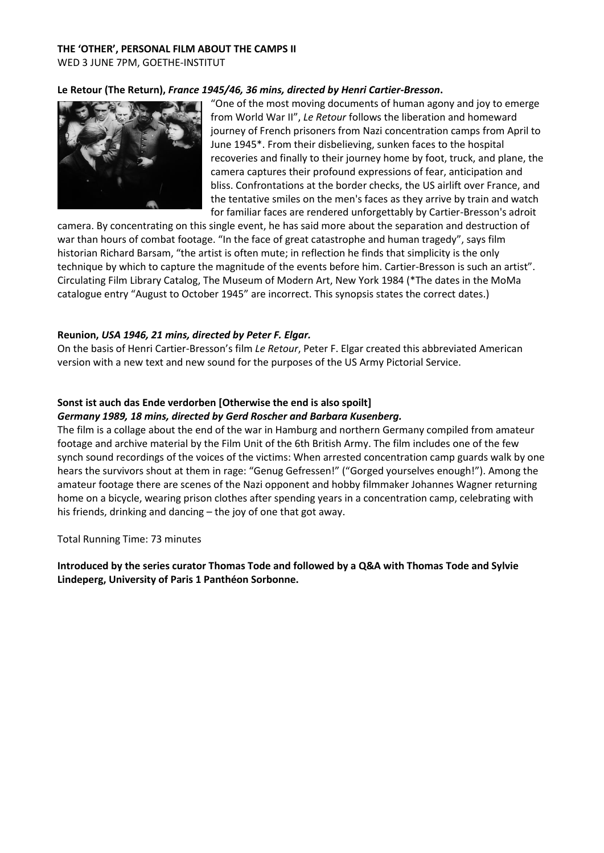# **THE 'OTHER', PERSONAL FILM ABOUT THE CAMPS II**

WED 3 JUNE 7PM, GOETHE-INSTITUT

# **Le Retour (The Return),** *France 1945/46, 36 mins, directed by Henri Cartier-Bresson***.**



"One of the most moving documents of human agony and joy to emerge from World War II", *Le Retour* follows the liberation and homeward journey of French prisoners from Nazi concentration camps from April to June 1945\*. From their disbelieving, sunken faces to the hospital recoveries and finally to their journey home by foot, truck, and plane, the camera captures their profound expressions of fear, anticipation and bliss. Confrontations at the border checks, the US airlift over France, and the tentative smiles on the men's faces as they arrive by train and watch for familiar faces are rendered unforgettably by Cartier-Bresson's adroit

camera. By concentrating on this single event, he has said more about the separation and destruction of war than hours of combat footage. "In the face of great catastrophe and human tragedy", says film historian Richard Barsam, "the artist is often mute; in reflection he finds that simplicity is the only technique by which to capture the magnitude of the events before him. Cartier-Bresson is such an artist". Circulating Film Library Catalog, The Museum of Modern Art, New York 1984 (\*The dates in the MoMa catalogue entry "August to October 1945" are incorrect. This synopsis states the correct dates.)

# **Reunion,** *USA 1946, 21 mins, directed by Peter F. Elgar.*

On the basis of Henri Cartier-Bresson's film *Le Retour*, Peter F. Elgar created this abbreviated American version with a new text and new sound for the purposes of the US Army Pictorial Service.

# **Sonst ist auch das Ende verdorben [Otherwise the end is also spoilt]** *Germany 1989, 18 mins, directed by Gerd Roscher and Barbara Kusenberg.*

The film is a collage about the end of the war in Hamburg and northern Germany compiled from amateur footage and archive material by the Film Unit of the 6th British Army. The film includes one of the few synch sound recordings of the voices of the victims: When arrested concentration camp guards walk by one hears the survivors shout at them in rage: "Genug Gefressen!" ("Gorged yourselves enough!"). Among the amateur footage there are scenes of the Nazi opponent and hobby filmmaker Johannes Wagner returning home on a bicycle, wearing prison clothes after spending years in a concentration camp, celebrating with his friends, drinking and dancing – the joy of one that got away.

Total Running Time: 73 minutes

**Introduced by the series curator Thomas Tode and followed by a Q&A with Thomas Tode and Sylvie Lindeperg, University of Paris 1 Panthéon Sorbonne.**